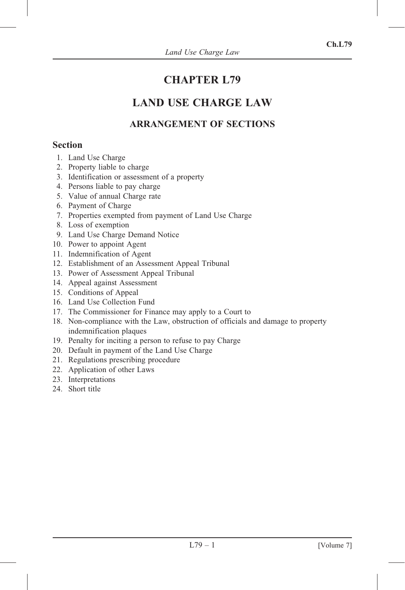# CHAPTER L79

# LAND USE CHARGE LAW

## ARRANGEMENT OF SECTIONS

## Section

- 1. Land Use Charge
- 2. Property liable to charge
- 3. Identification or assessment of a property
- 4. Persons liable to pay charge
- 5. Value of annual Charge rate
- 6. Payment of Charge
- 7. Properties exempted from payment of Land Use Charge
- 8. Loss of exemption
- 9. Land Use Charge Demand Notice
- 10. Power to appoint Agent
- 11. Indemnification of Agent
- 12. Establishment of an Assessment Appeal Tribunal
- 13. Power of Assessment Appeal Tribunal
- 14. Appeal against Assessment
- 15. Conditions of Appeal
- 16. Land Use Collection Fund
- 17. The Commissioner for Finance may apply to a Court to
- 18. Non-compliance with the Law, obstruction of officials and damage to property indemnification plaques
- 19. Penalty for inciting a person to refuse to pay Charge
- 20. Default in payment of the Land Use Charge
- 21. Regulations prescribing procedure
- 22. Application of other Laws
- 23. Interpretations
- 24. Short title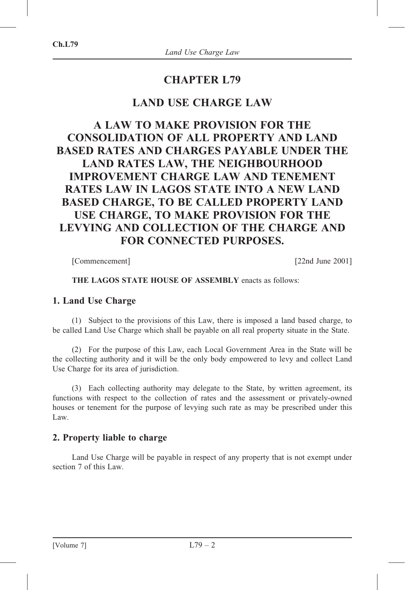## CHAPTER L79

## LAND USE CHARGE LAW

## A LAW TO MAKE PROVISION FOR THE CONSOLIDATION OF ALL PROPERTY AND LAND BASED RATES AND CHARGES PAYABLE UNDER THE LAND RATES LAW, THE NEIGHBOURHOOD IMPROVEMENT CHARGE LAW AND TENEMENT RATES LAW IN LAGOS STATE INTO A NEW LAND BASED CHARGE, TO BE CALLED PROPERTY LAND USE CHARGE, TO MAKE PROVISION FOR THE LEVYING AND COLLECTION OF THE CHARGE AND FOR CONNECTED PURPOSES.

[Commencement] [22nd June 2001]

#### THE LAGOS STATE HOUSE OF ASSEMBLY enacts as follows:

#### 1. Land Use Charge

(1) Subject to the provisions of this Law, there is imposed a land based charge, to be called Land Use Charge which shall be payable on all real property situate in the State.

(2) For the purpose of this Law, each Local Government Area in the State will be the collecting authority and it will be the only body empowered to levy and collect Land Use Charge for its area of jurisdiction.

(3) Each collecting authority may delegate to the State, by written agreement, its functions with respect to the collection of rates and the assessment or privately-owned houses or tenement for the purpose of levying such rate as may be prescribed under this Law.

#### 2. Property liable to charge

Land Use Charge will be payable in respect of any property that is not exempt under section 7 of this Law.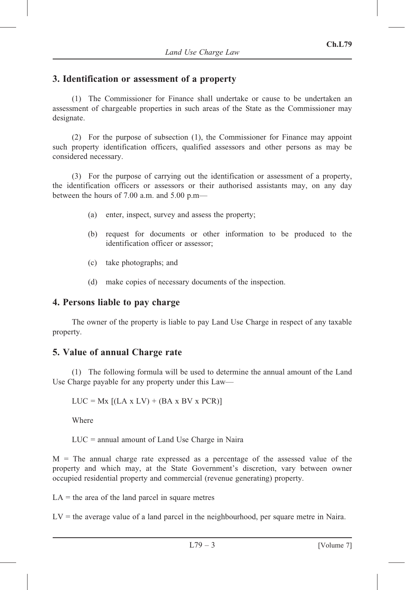## 3. Identification or assessment of a property

(1) The Commissioner for Finance shall undertake or cause to be undertaken an assessment of chargeable properties in such areas of the State as the Commissioner may designate.

(2) For the purpose of subsection (1), the Commissioner for Finance may appoint such property identification officers, qualified assessors and other persons as may be considered necessary.

(3) For the purpose of carrying out the identification or assessment of a property, the identification officers or assessors or their authorised assistants may, on any day between the hours of 7.00 a.m. and 5.00 p.m—

- (a) enter, inspect, survey and assess the property;
- (b) request for documents or other information to be produced to the identification officer or assessor;
- (c) take photographs; and
- (d) make copies of necessary documents of the inspection.

#### 4. Persons liable to pay charge

The owner of the property is liable to pay Land Use Charge in respect of any taxable property.

#### 5. Value of annual Charge rate

(1) The following formula will be used to determine the annual amount of the Land Use Charge payable for any property under this Law—

 $LUC = Mx$   $[(LA x LV) + (BA x BV x PCR)]$ 

Where

LUC = annual amount of Land Use Charge in Naira

 $M =$ The annual charge rate expressed as a percentage of the assessed value of the property and which may, at the State Government's discretion, vary between owner occupied residential property and commercial (revenue generating) property.

 $LA =$  the area of the land parcel in square metres

 $LV =$  the average value of a land parcel in the neighbourhood, per square metre in Naira.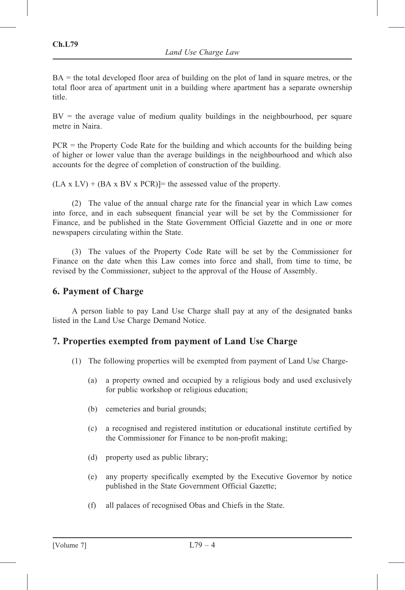BA = the total developed floor area of building on the plot of land in square metres, or the total floor area of apartment unit in a building where apartment has a separate ownership title.

 $BV =$  the average value of medium quality buildings in the neighbourhood, per square metre in Naira.

PCR = the Property Code Rate for the building and which accounts for the building being of higher or lower value than the average buildings in the neighbourhood and which also accounts for the degree of completion of construction of the building.

 $(LA \times LV)$  + (BA x BV x PCR)]= the assessed value of the property.

(2) The value of the annual charge rate for the financial year in which Law comes into force, and in each subsequent financial year will be set by the Commissioner for Finance, and be published in the State Government Official Gazette and in one or more newspapers circulating within the State.

(3) The values of the Property Code Rate will be set by the Commissioner for Finance on the date when this Law comes into force and shall, from time to time, be revised by the Commissioner, subject to the approval of the House of Assembly.

#### 6. Payment of Charge

A person liable to pay Land Use Charge shall pay at any of the designated banks listed in the Land Use Charge Demand Notice.

#### 7. Properties exempted from payment of Land Use Charge

- (1) The following properties will be exempted from payment of Land Use Charge-
	- (a) a property owned and occupied by a religious body and used exclusively for public workshop or religious education;
	- (b) cemeteries and burial grounds;
	- (c) a recognised and registered institution or educational institute certified by the Commissioner for Finance to be non-profit making;
	- (d) property used as public library;
	- (e) any property specifically exempted by the Executive Governor by notice published in the State Government Official Gazette;
	- (f) all palaces of recognised Obas and Chiefs in the State.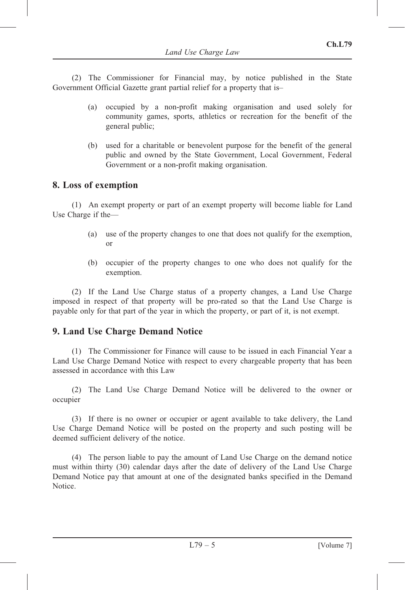(2) The Commissioner for Financial may, by notice published in the State Government Official Gazette grant partial relief for a property that is–

- (a) occupied by a non-profit making organisation and used solely for community games, sports, athletics or recreation for the benefit of the general public;
- (b) used for a charitable or benevolent purpose for the benefit of the general public and owned by the State Government, Local Government, Federal Government or a non-profit making organisation.

#### 8. Loss of exemption

(1) An exempt property or part of an exempt property will become liable for Land Use Charge if the—

- (a) use of the property changes to one that does not qualify for the exemption, or
- (b) occupier of the property changes to one who does not qualify for the exemption.

(2) If the Land Use Charge status of a property changes, a Land Use Charge imposed in respect of that property will be pro-rated so that the Land Use Charge is payable only for that part of the year in which the property, or part of it, is not exempt.

#### 9. Land Use Charge Demand Notice

(1) The Commissioner for Finance will cause to be issued in each Financial Year a Land Use Charge Demand Notice with respect to every chargeable property that has been assessed in accordance with this Law

(2) The Land Use Charge Demand Notice will be delivered to the owner or occupier

(3) If there is no owner or occupier or agent available to take delivery, the Land Use Charge Demand Notice will be posted on the property and such posting will be deemed sufficient delivery of the notice.

(4) The person liable to pay the amount of Land Use Charge on the demand notice must within thirty (30) calendar days after the date of delivery of the Land Use Charge Demand Notice pay that amount at one of the designated banks specified in the Demand Notice.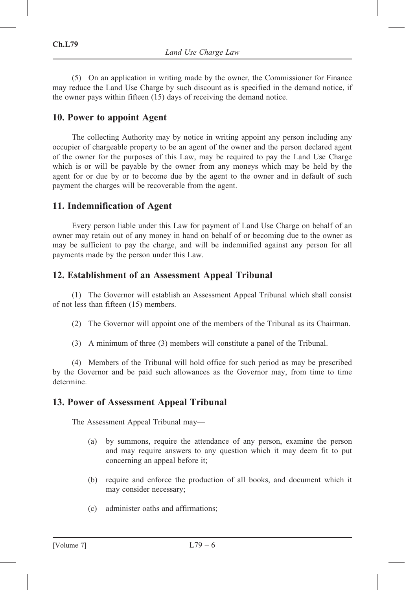(5) On an application in writing made by the owner, the Commissioner for Finance may reduce the Land Use Charge by such discount as is specified in the demand notice, if the owner pays within fifteen (15) days of receiving the demand notice.

#### 10. Power to appoint Agent

The collecting Authority may by notice in writing appoint any person including any occupier of chargeable property to be an agent of the owner and the person declared agent of the owner for the purposes of this Law, may be required to pay the Land Use Charge which is or will be payable by the owner from any moneys which may be held by the agent for or due by or to become due by the agent to the owner and in default of such payment the charges will be recoverable from the agent.

#### 11. Indemnification of Agent

Every person liable under this Law for payment of Land Use Charge on behalf of an owner may retain out of any money in hand on behalf of or becoming due to the owner as may be sufficient to pay the charge, and will be indemnified against any person for all payments made by the person under this Law.

#### 12. Establishment of an Assessment Appeal Tribunal

(1) The Governor will establish an Assessment Appeal Tribunal which shall consist of not less than fifteen (15) members.

- (2) The Governor will appoint one of the members of the Tribunal as its Chairman.
- (3) A minimum of three (3) members will constitute a panel of the Tribunal.

(4) Members of the Tribunal will hold office for such period as may be prescribed by the Governor and be paid such allowances as the Governor may, from time to time determine.

#### 13. Power of Assessment Appeal Tribunal

The Assessment Appeal Tribunal may—

- (a) by summons, require the attendance of any person, examine the person and may require answers to any question which it may deem fit to put concerning an appeal before it;
- (b) require and enforce the production of all books, and document which it may consider necessary;
- (c) administer oaths and affirmations;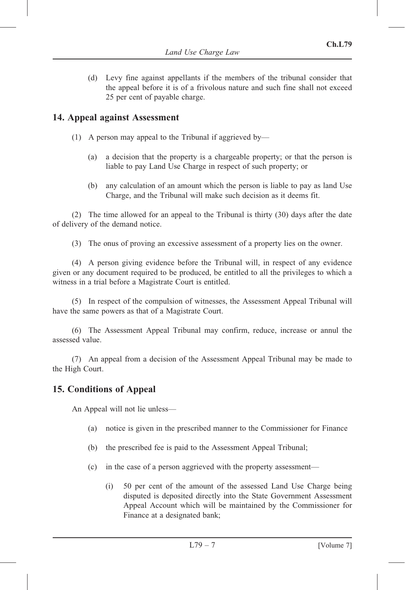(d) Levy fine against appellants if the members of the tribunal consider that the appeal before it is of a frivolous nature and such fine shall not exceed 25 per cent of payable charge.

## 14. Appeal against Assessment

- (1) A person may appeal to the Tribunal if aggrieved by—
	- (a) a decision that the property is a chargeable property; or that the person is liable to pay Land Use Charge in respect of such property; or
	- (b) any calculation of an amount which the person is liable to pay as land Use Charge, and the Tribunal will make such decision as it deems fit.

(2) The time allowed for an appeal to the Tribunal is thirty (30) days after the date of delivery of the demand notice.

(3) The onus of proving an excessive assessment of a property lies on the owner.

(4) A person giving evidence before the Tribunal will, in respect of any evidence given or any document required to be produced, be entitled to all the privileges to which a witness in a trial before a Magistrate Court is entitled.

(5) In respect of the compulsion of witnesses, the Assessment Appeal Tribunal will have the same powers as that of a Magistrate Court.

(6) The Assessment Appeal Tribunal may confirm, reduce, increase or annul the assessed value.

(7) An appeal from a decision of the Assessment Appeal Tribunal may be made to the High Court.

#### 15. Conditions of Appeal

An Appeal will not lie unless—

- (a) notice is given in the prescribed manner to the Commissioner for Finance
- (b) the prescribed fee is paid to the Assessment Appeal Tribunal;
- (c) in the case of a person aggrieved with the property assessment—
	- (i) 50 per cent of the amount of the assessed Land Use Charge being disputed is deposited directly into the State Government Assessment Appeal Account which will be maintained by the Commissioner for Finance at a designated bank;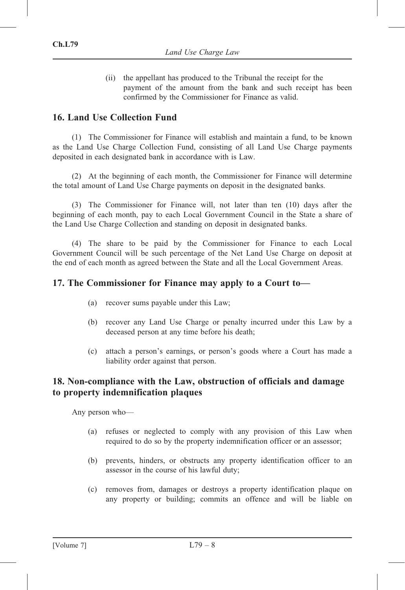(ii) the appellant has produced to the Tribunal the receipt for the payment of the amount from the bank and such receipt has been confirmed by the Commissioner for Finance as valid.

#### 16. Land Use Collection Fund

(1) The Commissioner for Finance will establish and maintain a fund, to be known as the Land Use Charge Collection Fund, consisting of all Land Use Charge payments deposited in each designated bank in accordance with is Law.

(2) At the beginning of each month, the Commissioner for Finance will determine the total amount of Land Use Charge payments on deposit in the designated banks.

(3) The Commissioner for Finance will, not later than ten (10) days after the beginning of each month, pay to each Local Government Council in the State a share of the Land Use Charge Collection and standing on deposit in designated banks.

(4) The share to be paid by the Commissioner for Finance to each Local Government Council will be such percentage of the Net Land Use Charge on deposit at the end of each month as agreed between the State and all the Local Government Areas.

#### 17. The Commissioner for Finance may apply to a Court to—

- (a) recover sums payable under this Law;
- (b) recover any Land Use Charge or penalty incurred under this Law by a deceased person at any time before his death;
- (c) attach a person's earnings, or person's goods where a Court has made a liability order against that person.

#### 18. Non-compliance with the Law, obstruction of officials and damage to property indemnification plaques

Any person who—

- (a) refuses or neglected to comply with any provision of this Law when required to do so by the property indemnification officer or an assessor;
- (b) prevents, hinders, or obstructs any property identification officer to an assessor in the course of his lawful duty;
- (c) removes from, damages or destroys a property identification plaque on any property or building; commits an offence and will be liable on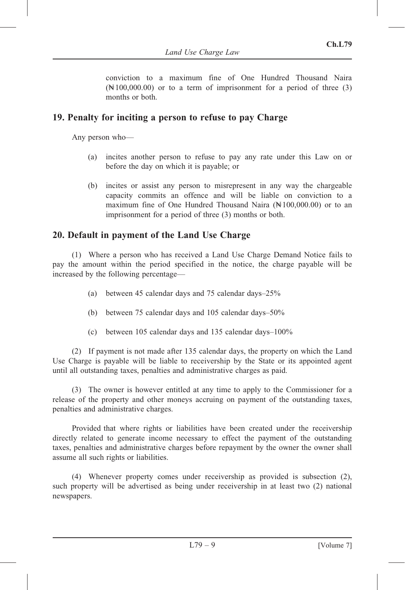conviction to a maximum fine of One Hundred Thousand Naira  $(\mathbb{N}100,000.00)$  or to a term of imprisonment for a period of three (3) months or both.

#### 19. Penalty for inciting a person to refuse to pay Charge

Any person who—

- (a) incites another person to refuse to pay any rate under this Law on or before the day on which it is payable; or
- (b) incites or assist any person to misrepresent in any way the chargeable capacity commits an offence and will be liable on conviction to a maximum fine of One Hundred Thousand Naira  $(\mathbb{N}100,000.00)$  or to an imprisonment for a period of three (3) months or both.

### 20. Default in payment of the Land Use Charge

(1) Where a person who has received a Land Use Charge Demand Notice fails to pay the amount within the period specified in the notice, the charge payable will be increased by the following percentage—

- (a) between 45 calendar days and 75 calendar days–25%
- (b) between 75 calendar days and 105 calendar days–50%
- (c) between 105 calendar days and 135 calendar days–100%

(2) If payment is not made after 135 calendar days, the property on which the Land Use Charge is payable will be liable to receivership by the State or its appointed agent until all outstanding taxes, penalties and administrative charges as paid.

(3) The owner is however entitled at any time to apply to the Commissioner for a release of the property and other moneys accruing on payment of the outstanding taxes, penalties and administrative charges.

Provided that where rights or liabilities have been created under the receivership directly related to generate income necessary to effect the payment of the outstanding taxes, penalties and administrative charges before repayment by the owner the owner shall assume all such rights or liabilities.

(4) Whenever property comes under receivership as provided is subsection (2), such property will be advertised as being under receivership in at least two (2) national newspapers.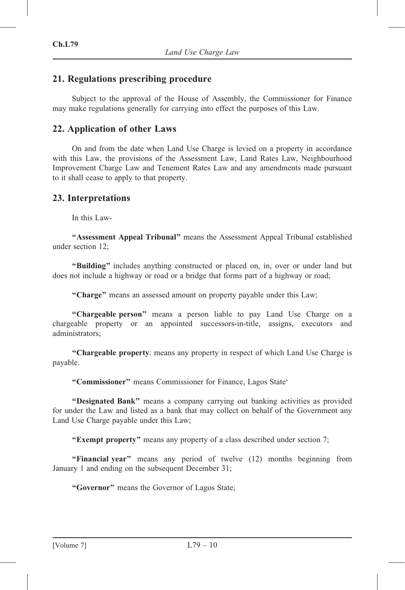## 21. Regulations prescribing procedure

Subject to the approval of the House of Assembly, the Commissioner for Finance may make regulations generally for carrying into effect the purposes of this Law.

## 22. Application of other Laws

On and from the date when Land Use Charge is levied on a property in accordance with this Law, the provisions of the Assessment Law, Land Rates Law, Neighbourhood Improvement Charge Law and Tenement Rates Law and any amendments made pursuant to it shall cease to apply to that property.

#### 23. Interpretations

In this Law-

''Assessment Appeal Tribunal'' means the Assessment Appeal Tribunal established under section 12;

''Building'' includes anything constructed or placed on, in, over or under land but does not include a highway or road or a bridge that forms part of a highway or road;

"Charge" means an assessed amount on property payable under this Law;

"Chargeable person" means a person liable to pay Land Use Charge on a chargeable property or an appointed successors-in-title, assigns, executors and administrators;

''Chargeable property: means any property in respect of which Land Use Charge is payable.

"Commissioner" means Commissioner for Finance, Lagos State"

"Designated Bank" means a company carrying out banking activities as provided for under the Law and listed as a bank that may collect on behalf of the Government any Land Use Charge payable under this Law;

"Exempt property" means any property of a class described under section 7;

"Financial year" means any period of twelve (12) months beginning from January 1 and ending on the subsequent December 31;

''Governor'' means the Governor of Lagos State;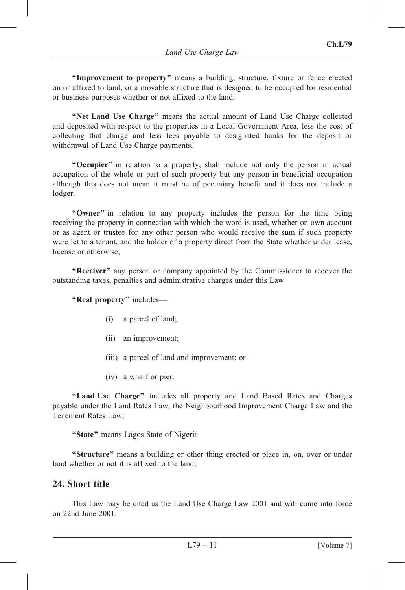"Improvement to property" means a building, structure, fixture or fence erected on or affixed to land, or a movable structure that is designed to be occupied for residential or business purposes whether or not affixed to the land;

''Net Land Use Charge'' means the actual amount of Land Use Charge collected and deposited with respect to the properties in a Local Government Area, less the cost of collecting that charge and less fees payable to designated banks for the deposit or withdrawal of Land Use Charge payments.

"Occupier" in relation to a property, shall include not only the person in actual occupation of the whole or part of such property but any person in beneficial occupation although this does not mean it must be of pecuniary benefit and it does not include a lodger.

"Owner" in relation to any property includes the person for the time being receiving the property in connection with which the word is used, whether on own account or as agent or trustee for any other person who would receive the sum if such property were let to a tenant, and the holder of a property direct from the State whether under lease, license or otherwise;

"Receiver" any person or company appointed by the Commissioner to recover the outstanding taxes, penalties and administrative charges under this Law

"Real property" includes—

- (i) a parcel of land;
- (ii) an improvement;
- (iii) a parcel of land and improvement; or
- (iv) a wharf or pier.

"Land Use Charge" includes all property and Land Based Rates and Charges payable under the Land Rates Law, the Neighbourhood Improvement Charge Law and the Tenement Rates Law;

"State" means Lagos State of Nigeria

"Structure" means a building or other thing erected or place in, on, over or under land whether or not it is affixed to the land;

#### 24. Short title

This Law may be cited as the Land Use Charge Law 2001 and will come into force on 22nd June 2001.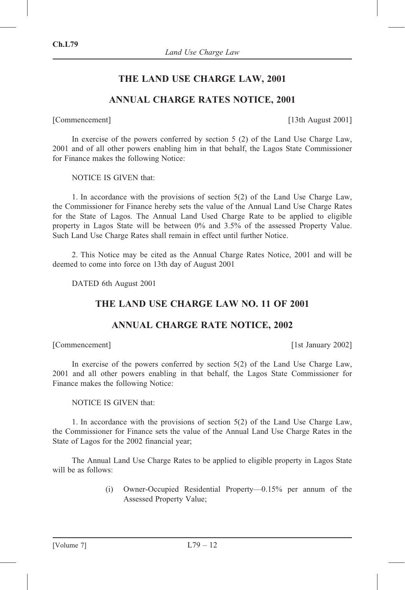## THE LAND USE CHARGE LAW, 2001

### ANNUAL CHARGE RATES NOTICE, 2001

[Commencement] [13th August 2001]

In exercise of the powers conferred by section 5 (2) of the Land Use Charge Law, 2001 and of all other powers enabling him in that behalf, the Lagos State Commissioner for Finance makes the following Notice:

NOTICE IS GIVEN that:

1. In accordance with the provisions of section 5(2) of the Land Use Charge Law, the Commissioner for Finance hereby sets the value of the Annual Land Use Charge Rates for the State of Lagos. The Annual Land Used Charge Rate to be applied to eligible property in Lagos State will be between 0% and 3.5% of the assessed Property Value. Such Land Use Charge Rates shall remain in effect until further Notice.

2. This Notice may be cited as the Annual Charge Rates Notice, 2001 and will be deemed to come into force on 13th day of August 2001

DATED 6th August 2001

#### THE LAND USE CHARGE LAW NO. 11 OF 2001

#### ANNUAL CHARGE RATE NOTICE, 2002

[Commencement] [1st January 2002]

In exercise of the powers conferred by section 5(2) of the Land Use Charge Law, 2001 and all other powers enabling in that behalf, the Lagos State Commissioner for Finance makes the following Notice:

NOTICE IS GIVEN that:

1. In accordance with the provisions of section 5(2) of the Land Use Charge Law, the Commissioner for Finance sets the value of the Annual Land Use Charge Rates in the State of Lagos for the 2002 financial year;

The Annual Land Use Charge Rates to be applied to eligible property in Lagos State will be as follows:

> (i) Owner-Occupied Residential Property—0.15% per annum of the Assessed Property Value;